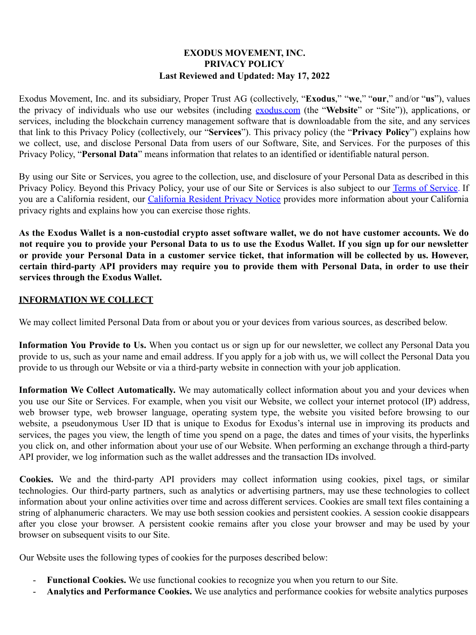#### **EXODUS MOVEMENT, INC. PRIVACY POLICY Last Reviewed and Updated: May 17, 2022**

Exodus Movement, Inc. and its subsidiary, Proper Trust AG (collectively, "**Exodus**," "**we**," "**our**," and/or "**us**"), values the privacy of individuals who use our websites (including exodus.com (the "**Website**" or "Site")), applications, or services, including the blockchain currency management software that is downloadable from the site, and any services that link to this Privacy Policy (collectively, our "**Services**"). This privacy policy (the "**Privacy Policy**") explains how we collect, use, and disclose Personal Data from users of our Software, Site, and Services. For the purposes of this Privacy Policy, "**Personal Data**" means information that relates to an identified or identifiable natural person.

By using our Site or Services, you agree to the collection, use, and disclosure of your Personal Data as described in this Privacy Policy. Beyond this Privacy Policy, your use of our Site or Services is also subject to our Terms of Service. If you are a California resident, our California Resident Privacy Notice provides more information about your California privacy rights and explains how you can exercise those rights.

As the Exodus Wallet is a non-custodial crypto asset software wallet, we do not have customer accounts. We do not require you to provide your Personal Data to us to use the Exodus Wallet. If you sign up for our newsletter or provide your Personal Data in a customer service ticket, that information will be collected by us. However, certain third-party API providers may require you to provide them with Personal Data, in order to use their **services through the Exodus Wallet.**

#### **INFORMATION WE COLLECT**

We may collect limited Personal Data from or about you or your devices from various sources, as described below.

**Information You Provide to Us.** When you contact us or sign up for our newsletter, we collect any Personal Data you provide to us, such as your name and email address. If you apply for a job with us, we will collect the Personal Data you provide to us through our Website or via a third-party website in connection with your job application.

**Information We Collect Automatically.** We may automatically collect information about you and your devices when you use our Site or Services. For example, when you visit our Website, we collect your internet protocol (IP) address, web browser type, web browser language, operating system type, the website you visited before browsing to our website, a pseudonymous User ID that is unique to Exodus for Exodus's internal use in improving its products and services, the pages you view, the length of time you spend on a page, the dates and times of your visits, the hyperlinks you click on, and other information about your use of our Website. When performing an exchange through a third-party API provider, we log information such as the wallet addresses and the transaction IDs involved.

**Cookies.** We and the third-party API providers may collect information using cookies, pixel tags, or similar technologies. Our third-party partners, such as analytics or advertising partners, may use these technologies to collect information about your online activities over time and across different services. Cookies are small text files containing a string of alphanumeric characters. We may use both session cookies and persistent cookies. A session cookie disappears after you close your browser. A persistent cookie remains after you close your browser and may be used by your browser on subsequent visits to our Site.

Our Website uses the following types of cookies for the purposes described below:

- **Functional Cookies.** We use functional cookies to recognize you when you return to our Site.
- **Analytics and Performance Cookies.** We use analytics and performance cookies for website analytics purposes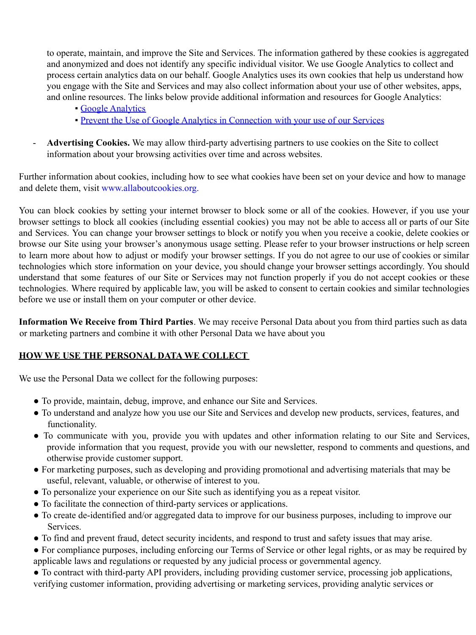to operate, maintain, and improve the Site and Services. The information gathered by these cookies is aggregated and anonymized and does not identify any specific individual visitor. We use Google Analytics to collect and process certain analytics data on our behalf. Google Analytics uses its own cookies that help us understand how you engage with the Site and Services and may also collect information about your use of other websites, apps, and online resources. The links below provide additional information and resources for Google Analytics:

- **Google Analytics**
- Prevent the Use of Google Analytics in Connection with your use of our Services
- Advertising Cookies. We may allow third-party advertising partners to use cookies on the Site to collect information about your browsing activities over time and across websites.

Further information about cookies, including how to see what cookies have been set on your device and how to manage and delete them, visit www.allaboutcookies.org.

You can block cookies by setting your internet browser to block some or all of the cookies. However, if you use your browser settings to block all cookies (including essential cookies) you may not be able to access all or parts of our Site and Services. You can change your browser settings to block or notify you when you receive a cookie, delete cookies or browse our Site using your browser's anonymous usage setting. Please refer to your browser instructions or help screen to learn more about how to adjust or modify your browser settings. If you do not agree to our use of cookies or similar technologies which store information on your device, you should change your browser settings accordingly. You should understand that some features of our Site or Services may not function properly if you do not accept cookies or these technologies. Where required by applicable law, you will be asked to consent to certain cookies and similar technologies before we use or install them on your computer or other device.

**Information We Receive from Third Parties**. We may receive Personal Data about you from third parties such as data or marketing partners and combine it with other Personal Data we have about you

## **HOW WE USE THE PERSONAL DATA WE COLLECT**

We use the Personal Data we collect for the following purposes:

- To provide, maintain, debug, improve, and enhance our Site and Services.
- To understand and analyze how you use our Site and Services and develop new products, services, features, and functionality.
- To communicate with you, provide you with updates and other information relating to our Site and Services, provide information that you request, provide you with our newsletter, respond to comments and questions, and otherwise provide customer support.
- For marketing purposes, such as developing and providing promotional and advertising materials that may be useful, relevant, valuable, or otherwise of interest to you.
- To personalize your experience on our Site such as identifying you as a repeat visitor.
- To facilitate the connection of third-party services or applications.
- To create de-identified and/or aggregated data to improve for our business purposes, including to improve our Services.
- To find and prevent fraud, detect security incidents, and respond to trust and safety issues that may arise.
- For compliance purposes, including enforcing our Terms of Service or other legal rights, or as may be required by applicable laws and regulations or requested by any judicial process or governmental agency.
- To contract with third-party API providers, including providing customer service, processing job applications, verifying customer information, providing advertising or marketing services, providing analytic services or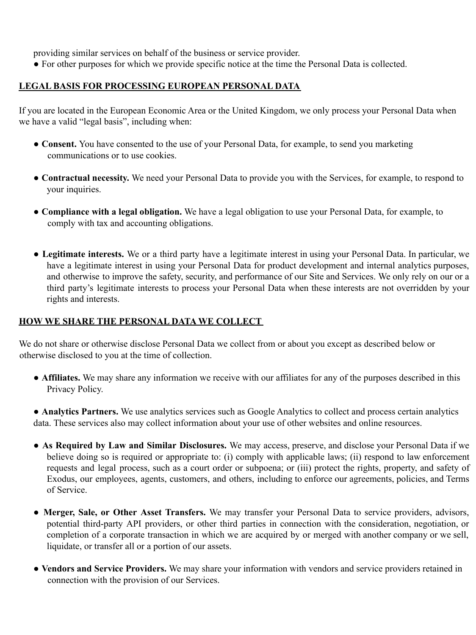providing similar services on behalf of the business or service provider.

• For other purposes for which we provide specific notice at the time the Personal Data is collected.

#### **LEGAL BASIS FOR PROCESSING EUROPEAN PERSONAL DATA**

If you are located in the European Economic Area or the United Kingdom, we only process your Personal Data when we have a valid "legal basis", including when:

- Consent. You have consented to the use of your Personal Data, for example, to send you marketing communications or to use cookies.
- **Contractual necessity.** We need your Personal Data to provide you with the Services, for example, to respond to your inquiries.
- **Compliance with a legal obligation.** We have a legal obligation to use your Personal Data, for example, to comply with tax and accounting obligations.
- **Legitimate interests.** We or a third party have a legitimate interest in using your Personal Data. In particular, we have a legitimate interest in using your Personal Data for product development and internal analytics purposes, and otherwise to improve the safety, security, and performance of our Site and Services. We only rely on our or a third party's legitimate interests to process your Personal Data when these interests are not overridden by your rights and interests.

#### **HOW WE SHARE THE PERSONAL DATA WE COLLECT**

We do not share or otherwise disclose Personal Data we collect from or about you except as described below or otherwise disclosed to you at the time of collection.

• **Affiliates.** We may share any information we receive with our affiliates for any of the purposes described in this Privacy Policy.

● **Analytics Partners.** We use analytics services such as Google Analytics to collect and process certain analytics data. These services also may collect information about your use of other websites and online resources.

- **As Required by Law and Similar Disclosures.** We may access, preserve, and disclose your Personal Data if we believe doing so is required or appropriate to: (i) comply with applicable laws; (ii) respond to law enforcement requests and legal process, such as a court order or subpoena; or (iii) protect the rights, property, and safety of Exodus, our employees, agents, customers, and others, including to enforce our agreements, policies, and Terms of Service.
- **Merger, Sale, or Other Asset Transfers.** We may transfer your Personal Data to service providers, advisors, potential third-party API providers, or other third parties in connection with the consideration, negotiation, or completion of a corporate transaction in which we are acquired by or merged with another company or we sell, liquidate, or transfer all or a portion of our assets.
- **Vendors and Service Providers.** We may share your information with vendors and service providers retained in connection with the provision of our Services.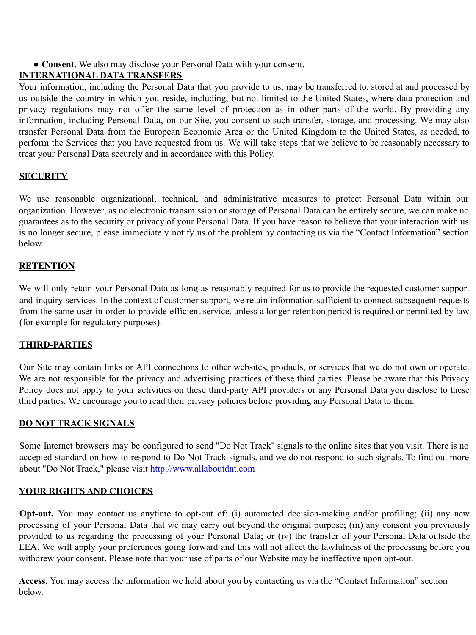● **Consent**. We also may disclose your Personal Data with your consent.

# **INTERNATIONAL DATA TRANSFERS**

Your information, including the Personal Data that you provide to us, may be transferred to, stored at and processed by us outside the country in which you reside, including, but not limited to the United States, where data protection and privacy regulations may not offer the same level of protection as in other parts of the world. By providing any information, including Personal Data, on our Site, you consent to such transfer, storage, and processing. We may also transfer Personal Data from the European Economic Area or the United Kingdom to the United States, as needed, to perform the Services that you have requested from us. We will take steps that we believe to be reasonably necessary to treat your Personal Data securely and in accordance with this Policy.

## **SECURITY**

We use reasonable organizational, technical, and administrative measures to protect Personal Data within our organization. However, as no electronic transmission or storage of Personal Data can be entirely secure, we can make no guarantees as to the security or privacy of your Personal Data. If you have reason to believe that your interaction with us is no longer secure, please immediately notify us of the problem by contacting us via the "Contact Information" section below.

## **RETENTION**

We will only retain your Personal Data as long as reasonably required for us to provide the requested customer support and inquiry services. In the context of customer support, we retain information sufficient to connect subsequent requests from the same user in order to provide efficient service, unless a longer retention period is required or permitted by law (for example for regulatory purposes).

## **THIRD-PARTIES**

Our Site may contain links or API connections to other websites, products, or services that we do not own or operate. We are not responsible for the privacy and advertising practices of these third parties. Please be aware that this Privacy Policy does not apply to your activities on these third-party API providers or any Personal Data you disclose to these third parties. We encourage you to read their privacy policies before providing any Personal Data to them.

## **DO NOT TRACK SIGNALS**

Some Internet browsers may be configured to send "Do Not Track" signals to the online sites that you visit. There is no accepted standard on how to respond to Do Not Track signals, and we do not respond to such signals. To find out more about "Do Not Track," please visit http://www.allaboutdnt.com

## **YOUR RIGHTS AND CHOICES**

**Opt-out.** You may contact us anytime to opt-out of: (i) automated decision-making and/or profiling; (ii) any new processing of your Personal Data that we may carry out beyond the original purpose; (iii) any consent you previously provided to us regarding the processing of your Personal Data; or (iv) the transfer of your Personal Data outside the EEA. We will apply your preferences going forward and this will not affect the lawfulness of the processing before you withdrew your consent. Please note that your use of parts of our Website may be ineffective upon opt-out.

**Access.** You may access the information we hold about you by contacting us via the "Contact Information" section below.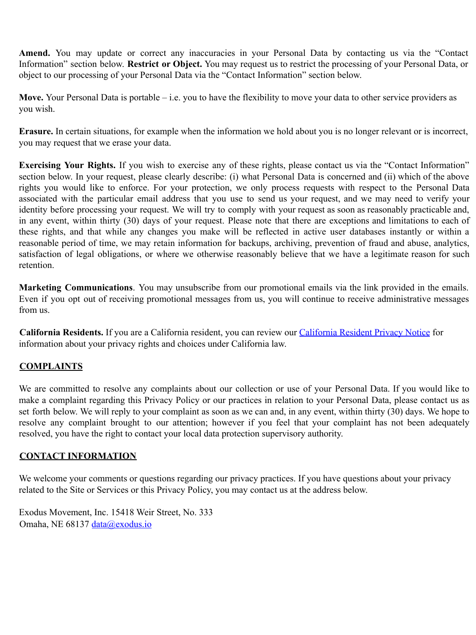Amend. You may update or correct any inaccuracies in your Personal Data by contacting us via the "Contact Information" section below. **Restrict or Object.** You may request us to restrict the processing of your Personal Data, or object to our processing of your Personal Data via the "Contact Information" section below.

**Move.** Your Personal Data is portable – i.e. you to have the flexibility to move your data to other service providers as you wish.

**Erasure.** In certain situations, for example when the information we hold about you is no longer relevant or is incorrect, you may request that we erase your data.

**Exercising Your Rights.** If you wish to exercise any of these rights, please contact us via the "Contact Information" section below. In your request, please clearly describe: (i) what Personal Data is concerned and (ii) which of the above rights you would like to enforce. For your protection, we only process requests with respect to the Personal Data associated with the particular email address that you use to send us your request, and we may need to verify your identity before processing your request. We will try to comply with your request as soon as reasonably practicable and, in any event, within thirty (30) days of your request. Please note that there are exceptions and limitations to each of these rights, and that while any changes you make will be reflected in active user databases instantly or within a reasonable period of time, we may retain information for backups, archiving, prevention of fraud and abuse, analytics, satisfaction of legal obligations, or where we otherwise reasonably believe that we have a legitimate reason for such retention.

**Marketing Communications**. You may unsubscribe from our promotional emails via the link provided in the emails. Even if you opt out of receiving promotional messages from us, you will continue to receive administrative messages from us.

**California Residents.** If you are a California resident, you can review our California Resident Privacy Notice for information about your privacy rights and choices under California law.

## **COMPLAINTS**

We are committed to resolve any complaints about our collection or use of your Personal Data. If you would like to make a complaint regarding this Privacy Policy or our practices in relation to your Personal Data, please contact us as set forth below. We will reply to your complaint as soon as we can and, in any event, within thirty  $(30)$  days. We hope to resolve any complaint brought to our attention; however if you feel that your complaint has not been adequately resolved, you have the right to contact your local data protection supervisory authority.

## **CONTACT INFORMATION**

We welcome your comments or questions regarding our privacy practices. If you have questions about your privacy related to the Site or Services or this Privacy Policy, you may contact us at the address below.

Exodus Movement, Inc. 15418 Weir Street, No. 333 Omaha, NE 68137 data@exodus.io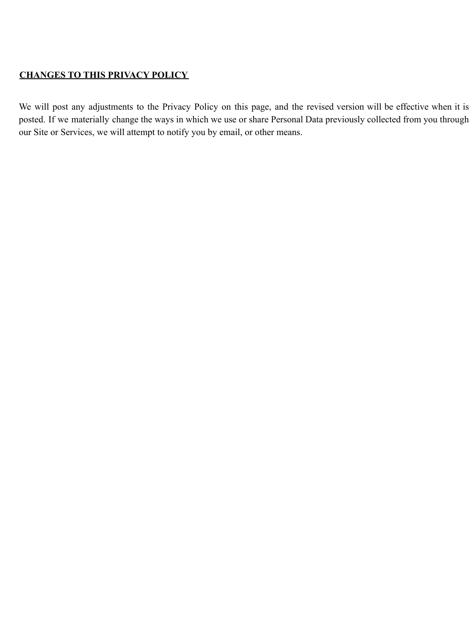## **CHANGES TO THIS PRIVACY POLICY**

We will post any adjustments to the Privacy Policy on this page, and the revised version will be effective when it is posted. If we materially change the ways in which we use or share Personal Data previously collected from you through our Site or Services, we will attempt to notify you by email, or other means.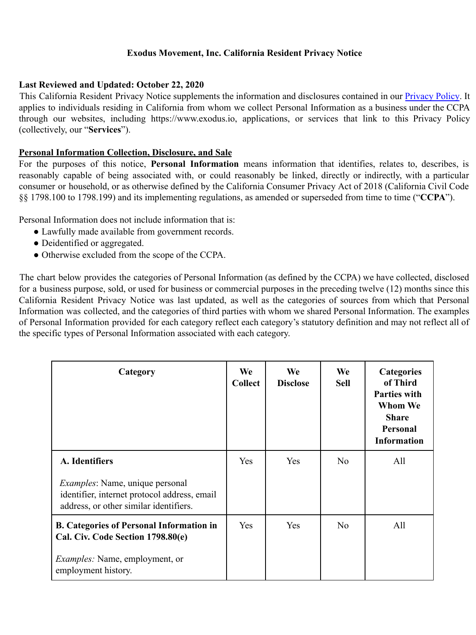## **Exodus Movement, Inc. California Resident Privacy Notice**

#### **Last Reviewed and Updated: October 22, 2020**

This California Resident Privacy Notice supplements the information and disclosures contained in our Privacy Policy. It applies to individuals residing in California from whom we collect Personal Information as a business under the CCPA through our websites, including https://www.exodus.io, applications, or services that link to this Privacy Policy (collectively, our "**Services**").

#### **Personal Information Collection, Disclosure, and Sale**

For the purposes of this notice, **Personal Information** means information that identifies, relates to, describes, is reasonably capable of being associated with, or could reasonably be linked, directly or indirectly, with a particular consumer or household, or as otherwise defined by the California Consumer Privacy Act of 2018 (California Civil Code §§ 1798.100 to 1798.199) and its implementing regulations, as amended or superseded from time to time ("**CCPA**").

Personal Information does not include information that is:

- Lawfully made available from government records.
- Deidentified or aggregated.
- Otherwise excluded from the scope of the CCPA.

The chart below provides the categories of Personal Information (as defined by the CCPA) we have collected, disclosed for a business purpose, sold, or used for business or commercial purposes in the preceding twelve (12) months since this California Resident Privacy Notice was last updated, as well as the categories of sources from which that Personal Information was collected, and the categories of third parties with whom we shared Personal Information. The examples of Personal Information provided for each category reflect each category's statutory definition and may not reflect all of the specific types of Personal Information associated with each category.

| Category                                                                                                                         | We<br><b>Collect</b> | <b>We</b><br><b>Disclose</b> | We<br><b>Sell</b> | <b>Categories</b><br>of Third<br><b>Parties with</b><br>Whom We<br><b>Share</b><br>Personal<br><b>Information</b> |
|----------------------------------------------------------------------------------------------------------------------------------|----------------------|------------------------------|-------------------|-------------------------------------------------------------------------------------------------------------------|
| A. Identifiers                                                                                                                   | Yes                  | <b>Yes</b>                   | N <sub>0</sub>    | All                                                                                                               |
| <i>Examples:</i> Name, unique personal<br>identifier, internet protocol address, email<br>address, or other similar identifiers. |                      |                              |                   |                                                                                                                   |
| <b>B. Categories of Personal Information in</b><br>Cal. Civ. Code Section 1798.80(e)                                             | Yes                  | Yes                          | N <sub>0</sub>    | All                                                                                                               |
| <i>Examples:</i> Name, employment, or<br>employment history.                                                                     |                      |                              |                   |                                                                                                                   |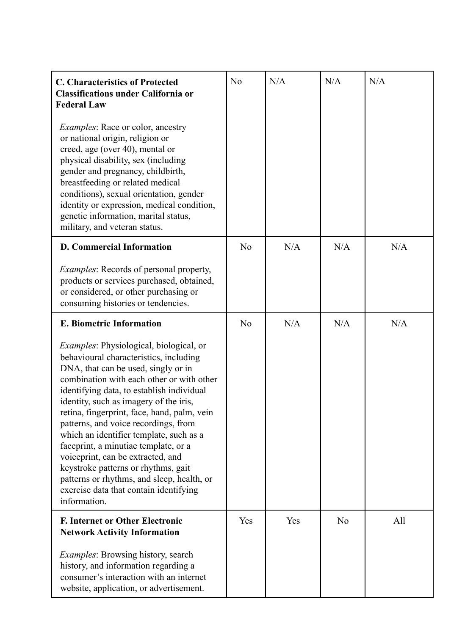| <b>C. Characteristics of Protected</b><br><b>Classifications under California or</b><br><b>Federal Law</b>                                                                                                                                                                                                                                                                                                                                                                                                                                                                                                                        | N <sub>0</sub> | N/A | N/A            | N/A |
|-----------------------------------------------------------------------------------------------------------------------------------------------------------------------------------------------------------------------------------------------------------------------------------------------------------------------------------------------------------------------------------------------------------------------------------------------------------------------------------------------------------------------------------------------------------------------------------------------------------------------------------|----------------|-----|----------------|-----|
| <i>Examples:</i> Race or color, ancestry<br>or national origin, religion or<br>creed, age (over 40), mental or<br>physical disability, sex (including<br>gender and pregnancy, childbirth,<br>breastfeeding or related medical<br>conditions), sexual orientation, gender<br>identity or expression, medical condition,<br>genetic information, marital status,<br>military, and veteran status.                                                                                                                                                                                                                                  |                |     |                |     |
| <b>D. Commercial Information</b>                                                                                                                                                                                                                                                                                                                                                                                                                                                                                                                                                                                                  | N <sub>o</sub> | N/A | N/A            | N/A |
| <i>Examples:</i> Records of personal property,<br>products or services purchased, obtained,<br>or considered, or other purchasing or<br>consuming histories or tendencies.                                                                                                                                                                                                                                                                                                                                                                                                                                                        |                |     |                |     |
| <b>E. Biometric Information</b>                                                                                                                                                                                                                                                                                                                                                                                                                                                                                                                                                                                                   | N <sub>0</sub> | N/A | N/A            | N/A |
| <i>Examples:</i> Physiological, biological, or<br>behavioural characteristics, including<br>DNA, that can be used, singly or in<br>combination with each other or with other<br>identifying data, to establish individual<br>identity, such as imagery of the iris,<br>retina, fingerprint, face, hand, palm, vein<br>patterns, and voice recordings, from<br>which an identifier template, such as a<br>faceprint, a minutiae template, or a<br>voiceprint, can be extracted, and<br>keystroke patterns or rhythms, gait<br>patterns or rhythms, and sleep, health, or<br>exercise data that contain identifying<br>information. |                |     |                |     |
| <b>F. Internet or Other Electronic</b><br><b>Network Activity Information</b>                                                                                                                                                                                                                                                                                                                                                                                                                                                                                                                                                     | Yes            | Yes | N <sub>o</sub> | All |
| <i>Examples:</i> Browsing history, search<br>history, and information regarding a<br>consumer's interaction with an internet<br>website, application, or advertisement.                                                                                                                                                                                                                                                                                                                                                                                                                                                           |                |     |                |     |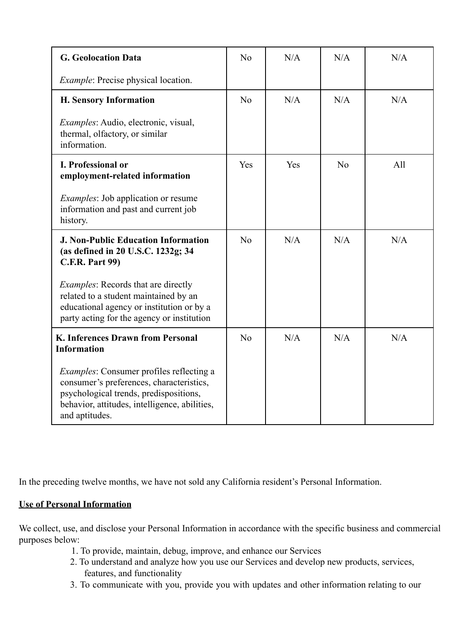| <b>G.</b> Geolocation Data                                                                                                                                                                               | N <sub>o</sub> | N/A | N/A            | N/A |
|----------------------------------------------------------------------------------------------------------------------------------------------------------------------------------------------------------|----------------|-----|----------------|-----|
| <i>Example:</i> Precise physical location.                                                                                                                                                               |                |     |                |     |
| <b>H. Sensory Information</b>                                                                                                                                                                            | N <sub>0</sub> | N/A | N/A            | N/A |
| <i>Examples:</i> Audio, electronic, visual,<br>thermal, olfactory, or similar<br>information.                                                                                                            |                |     |                |     |
| <b>I. Professional or</b><br>employment-related information                                                                                                                                              | Yes            | Yes | N <sub>0</sub> | All |
| <i>Examples:</i> Job application or resume<br>information and past and current job<br>history.                                                                                                           |                |     |                |     |
| <b>J. Non-Public Education Information</b><br>(as defined in 20 U.S.C. 1232g; 34<br><b>C.F.R. Part 99)</b>                                                                                               | N <sub>o</sub> | N/A | N/A            | N/A |
| <i>Examples:</i> Records that are directly<br>related to a student maintained by an<br>educational agency or institution or by a<br>party acting for the agency or institution                           |                |     |                |     |
| K. Inferences Drawn from Personal<br><b>Information</b>                                                                                                                                                  | N <sub>o</sub> | N/A | N/A            | N/A |
| <i>Examples:</i> Consumer profiles reflecting a<br>consumer's preferences, characteristics,<br>psychological trends, predispositions,<br>behavior, attitudes, intelligence, abilities,<br>and aptitudes. |                |     |                |     |

In the preceding twelve months, we have not sold any California resident's Personal Information.

## **Use of Personal Information**

We collect, use, and disclose your Personal Information in accordance with the specific business and commercial purposes below:

- 1. To provide, maintain, debug, improve, and enhance our Services
- 2. To understand and analyze how you use our Services and develop new products, services, features, and functionality
- 3. To communicate with you, provide you with updates and other information relating to our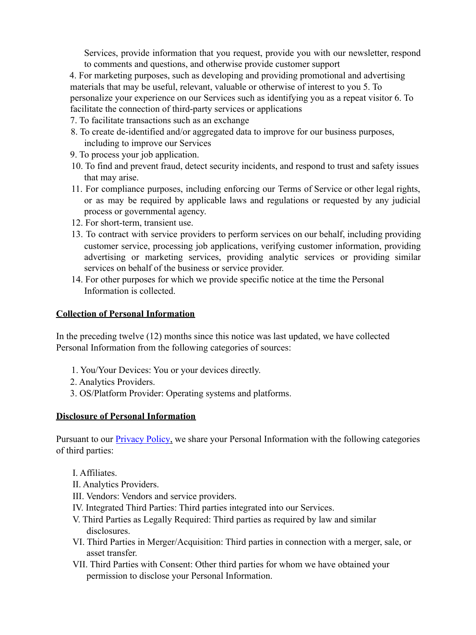Services, provide information that you request, provide you with our newsletter, respond to comments and questions, and otherwise provide customer support

4. For marketing purposes, such as developing and providing promotional and advertising materials that may be useful, relevant, valuable or otherwise of interest to you 5. To personalize your experience on our Services such as identifying you as a repeat visitor 6. To facilitate the connection of third-party services or applications

- 7. To facilitate transactions such as an exchange
- 8. To create de-identified and/or aggregated data to improve for our business purposes, including to improve our Services
- 9. To process your job application.
- 10. To find and prevent fraud, detect security incidents, and respond to trust and safety issues that may arise.
- 11. For compliance purposes, including enforcing our Terms of Service or other legal rights, or as may be required by applicable laws and regulations or requested by any judicial process or governmental agency.
- 12. For short-term, transient use.
- 13. To contract with service providers to perform services on our behalf, including providing customer service, processing job applications, verifying customer information, providing advertising or marketing services, providing analytic services or providing similar services on behalf of the business or service provider.
- 14. For other purposes for which we provide specific notice at the time the Personal Information is collected.

#### **Collection of Personal Information**

In the preceding twelve (12) months since this notice was last updated, we have collected Personal Information from the following categories of sources:

- 1. You/Your Devices: You or your devices directly.
- 2. Analytics Providers.
- 3. OS/Platform Provider: Operating systems and platforms.

#### **Disclosure of Personal Information**

Pursuant to our **Privacy Policy**, we share your Personal Information with the following categories of third parties:

- I. Affiliates.
- II. Analytics Providers.
- III. Vendors: Vendors and service providers.
- IV. Integrated Third Parties: Third parties integrated into our Services.
- V. Third Parties as Legally Required: Third parties as required by law and similar disclosures.
- VI. Third Parties in Merger/Acquisition: Third parties in connection with a merger, sale, or asset transfer.
- VII. Third Parties with Consent: Other third parties for whom we have obtained your permission to disclose your Personal Information.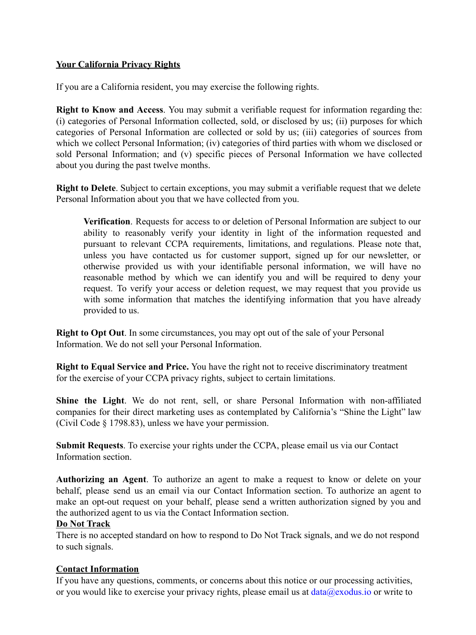### **Your California Privacy Rights**

If you are a California resident, you may exercise the following rights.

**Right to Know and Access**. You may submit a verifiable request for information regarding the: (i) categories of Personal Information collected, sold, or disclosed by us; (ii) purposes for which categories of Personal Information are collected or sold by us; (iii) categories of sources from which we collect Personal Information; (iv) categories of third parties with whom we disclosed or sold Personal Information; and (v) specific pieces of Personal Information we have collected about you during the past twelve months.

**Right to Delete**. Subject to certain exceptions, you may submit a verifiable request that we delete Personal Information about you that we have collected from you.

**Verification**. Requests for access to or deletion of Personal Information are subject to our ability to reasonably verify your identity in light of the information requested and pursuant to relevant CCPA requirements, limitations, and regulations. Please note that, unless you have contacted us for customer support, signed up for our newsletter, or otherwise provided us with your identifiable personal information, we will have no reasonable method by which we can identify you and will be required to deny your request. To verify your access or deletion request, we may request that you provide us with some information that matches the identifying information that you have already provided to us.

**Right to Opt Out**. In some circumstances, you may opt out of the sale of your Personal Information. We do not sell your Personal Information.

**Right to Equal Service and Price.** You have the right not to receive discriminatory treatment for the exercise of your CCPA privacy rights, subject to certain limitations.

**Shine the Light**. We do not rent, sell, or share Personal Information with non-affiliated companies for their direct marketing uses as contemplated by California's "Shine the Light" law (Civil Code § 1798.83), unless we have your permission.

**Submit Requests**. To exercise your rights under the CCPA, please email us via our Contact Information section.

**Authorizing an Agent**. To authorize an agent to make a request to know or delete on your behalf, please send us an email via our Contact Information section. To authorize an agent to make an opt-out request on your behalf, please send a written authorization signed by you and the authorized agent to us via the Contact Information section.

#### **Do Not Track**

There is no accepted standard on how to respond to Do Not Track signals, and we do not respond to such signals.

#### **Contact Information**

If you have any questions, comments, or concerns about this notice or our processing activities, or you would like to exercise your privacy rights, please email us at  $data@exodus.io$  or write to